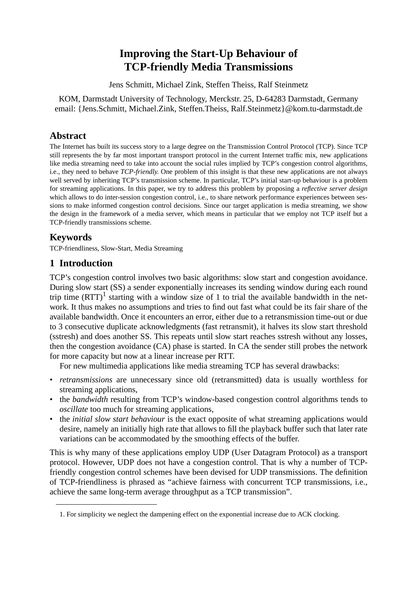# **Improving the Start-Up Behaviour of TCP-friendly Media Transmissions**

Jens Schmitt, Michael Zink, Steffen Theiss, Ralf Steinmetz

KOM, Darmstadt University of Technology, Merckstr. 25, D-64283 Darmstadt, Germany email: {Jens.Schmitt, Michael.Zink, Steffen.Theiss, Ralf.Steinmetz}@kom.tu-darmstadt.de

## **Abstract**

The Internet has built its success story to a large degree on the Transmission Control Protocol (TCP). Since TCP still represents the by far most important transport protocol in the current Internet traffic mix, new applications like media streaming need to take into account the social rules implied by TCP's congestion control algorithms, i.e., they need to behave *TCP-friendly*. One problem of this insight is that these new applications are not always well served by inheriting TCP's transmission scheme. In particular, TCP's initial start-up behaviour is a problem for streaming applications. In this paper, we try to address this problem by proposing a *reflective server design* which allows to do inter-session congestion control, i.e., to share network performance experiences between sessions to make informed congestion control decisions. Since our target application is media streaming, we show the design in the framework of a media server, which means in particular that we employ not TCP itself but a TCP-friendly transmissions scheme.

# **Keywords**

TCP-friendliness, Slow-Start, Media Streaming

# **1 Introduction**

TCP's congestion control involves two basic algorithms: slow start and congestion avoidance. During slow start (SS) a sender exponentially increases its sending window during each round trip time  $(RTT)^1$  starting with a window size of 1 to trial the available bandwidth in the network. It thus makes no assumptions and tries to find out fast what could be its fair share of the available bandwidth. Once it encounters an error, either due to a retransmission time-out or due to 3 consecutive duplicate acknowledgments (fast retransmit), it halves its slow start threshold (sstresh) and does another SS. This repeats until slow start reaches sstresh without any losses, then the congestion avoidance (CA) phase is started. In CA the sender still probes the network for more capacity but now at a linear increase per RTT.

For new multimedia applications like media streaming TCP has several drawbacks:

- *retransmissions* are unnecessary since old (retransmitted) data is usually worthless for streaming applications,
- the *bandwidth* resulting from TCP's window-based congestion control algorithms tends to *oscillate* too much for streaming applications,
- the *initial slow start behaviour* is the exact opposite of what streaming applications would desire, namely an initially high rate that allows to fill the playback buffer such that later rate variations can be accommodated by the smoothing effects of the buffer.

This is why many of these applications employ UDP (User Datagram Protocol) as a transport protocol. However, UDP does not have a congestion control. That is why a number of TCPfriendly congestion control schemes have been devised for UDP transmissions. The definition of TCP-friendliness is phrased as "achieve fairness with concurrent TCP transmissions, i.e., achieve the same long-term average throughput as a TCP transmission".

<sup>1.</sup> For simplicity we neglect the dampening effect on the exponential increase due to ACK clocking.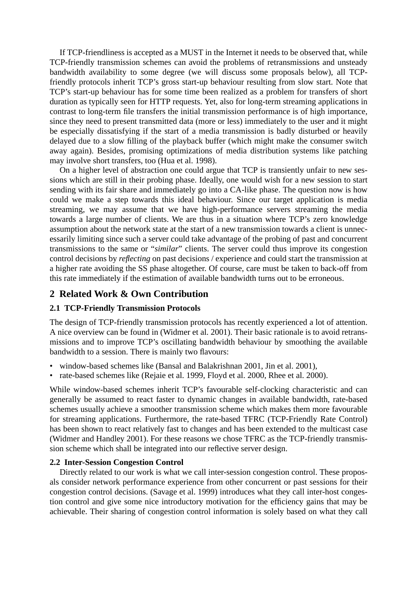If TCP-friendliness is accepted as a MUST in the Internet it needs to be observed that, while TCP-friendly transmission schemes can avoid the problems of retransmissions and unsteady bandwidth availability to some degree (we will discuss some proposals below), all TCPfriendly protocols inherit TCP's gross start-up behaviour resulting from slow start. Note that TCP's start-up behaviour has for some time been realized as a problem for transfers of short duration as typically seen for HTTP requests. Yet, also for long-term streaming applications in contrast to long-term file transfers the initial transmission performance is of high importance, since they need to present transmitted data (more or less) immediately to the user and it might be especially dissatisfying if the start of a media transmission is badly disturbed or heavily delayed due to a slow filling of the playback buffer (which might make the consumer switch away again). Besides, promising optimizations of media distribution systems like patching may involve short transfers, too (Hua et al. 1998).

On a higher level of abstraction one could argue that TCP is transiently unfair to new sessions which are still in their probing phase. Ideally, one would wish for a new session to start sending with its fair share and immediately go into a CA-like phase. The question now is how could we make a step towards this ideal behaviour. Since our target application is media streaming, we may assume that we have high-performance servers streaming the media towards a large number of clients. We are thus in a situation where TCP's zero knowledge assumption about the network state at the start of a new transmission towards a client is unnecessarily limiting since such a server could take advantage of the probing of past and concurrent transmissions to the same or "*similar*" clients. The server could thus improve its congestion control decisions by *reflecting* on past decisions / experience and could start the transmission at a higher rate avoiding the SS phase altogether. Of course, care must be taken to back-off from this rate immediately if the estimation of available bandwidth turns out to be erroneous.

### **2 Related Work & Own Contribution**

#### **2.1 TCP-Friendly Transmission Protocols**

The design of TCP-friendly transmission protocols has recently experienced a lot of attention. A nice overview can be found in (Widmer et al. 2001). Their basic rationale is to avoid retransmissions and to improve TCP's oscillating bandwidth behaviour by smoothing the available bandwidth to a session. There is mainly two flavours:

- window-based schemes like (Bansal and Balakrishnan 2001, Jin et al. 2001),
- rate-based schemes like (Rejaie et al. 1999, Floyd et al. 2000, Rhee et al. 2000).

While window-based schemes inherit TCP's favourable self-clocking characteristic and can generally be assumed to react faster to dynamic changes in available bandwidth, rate-based schemes usually achieve a smoother transmission scheme which makes them more favourable for streaming applications. Furthermore, the rate-based TFRC (TCP-Friendly Rate Control) has been shown to react relatively fast to changes and has been extended to the multicast case (Widmer and Handley 2001). For these reasons we chose TFRC as the TCP-friendly transmission scheme which shall be integrated into our reflective server design.

#### **2.2 Inter-Session Congestion Control**

Directly related to our work is what we call inter-session congestion control. These proposals consider network performance experience from other concurrent or past sessions for their congestion control decisions. (Savage et al. 1999) introduces what they call inter-host congestion control and give some nice introductory motivation for the efficiency gains that may be achievable. Their sharing of congestion control information is solely based on what they call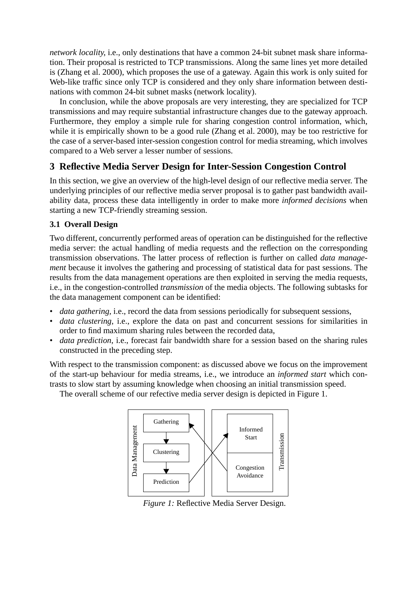*network locality*, i.e., only destinations that have a common 24-bit subnet mask share information. Their proposal is restricted to TCP transmissions. Along the same lines yet more detailed is (Zhang et al. 2000), which proposes the use of a gateway. Again this work is only suited for Web-like traffic since only TCP is considered and they only share information between destinations with common 24-bit subnet masks (network locality).

In conclusion, while the above proposals are very interesting, they are specialized for TCP transmissions and may require substantial infrastructure changes due to the gateway approach. Furthermore, they employ a simple rule for sharing congestion control information, which, while it is empirically shown to be a good rule (Zhang et al. 2000), may be too restrictive for the case of a server-based inter-session congestion control for media streaming, which involves compared to a Web server a lesser number of sessions.

# **3 Reflective Media Server Design for Inter-Session Congestion Control**

In this section, we give an overview of the high-level design of our reflective media server. The underlying principles of our reflective media server proposal is to gather past bandwidth availability data, process these data intelligently in order to make more *informed decisions* when starting a new TCP-friendly streaming session.

#### **3.1 Overall Design**

Two different, concurrently performed areas of operation can be distinguished for the reflective media server: the actual handling of media requests and the reflection on the corresponding transmission observations. The latter process of reflection is further on called *data management* because it involves the gathering and processing of statistical data for past sessions. The results from the data management operations are then exploited in serving the media requests, i.e., in the congestion-controlled *transmission* of the media objects. The following subtasks for the data management component can be identified:

- *data gathering,* i.e., record the data from sessions periodically for subsequent sessions,
- *data clustering*, i.e., explore the data on past and concurrent sessions for similarities in order to find maximum sharing rules between the recorded data,
- *data prediction*, i.e., forecast fair bandwidth share for a session based on the sharing rules constructed in the preceding step.

With respect to the transmission component: as discussed above we focus on the improvement of the start-up behaviour for media streams, i.e., we introduce an *informed start* which contrasts to slow start by assuming knowledge when choosing an initial transmission speed.

The overall scheme of our refective media server design is depicted in Figure 1.



*Figure 1:* Reflective Media Server Design.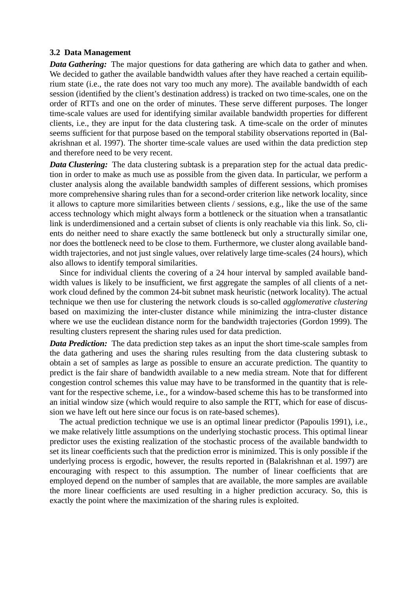#### **3.2 Data Management**

*Data Gathering:* The major questions for data gathering are which data to gather and when. We decided to gather the available bandwidth values after they have reached a certain equilibrium state (i.e., the rate does not vary too much any more). The available bandwidth of each session (identified by the client's destination address) is tracked on two time-scales, one on the order of RTTs and one on the order of minutes. These serve different purposes. The longer time-scale values are used for identifying similar available bandwidth properties for different clients, i.e., they are input for the data clustering task. A time-scale on the order of minutes seems sufficient for that purpose based on the temporal stability observations reported in (Balakrishnan et al. 1997). The shorter time-scale values are used within the data prediction step and therefore need to be very recent.

*Data Clustering:* The data clustering subtask is a preparation step for the actual data prediction in order to make as much use as possible from the given data. In particular, we perform a cluster analysis along the available bandwidth samples of different sessions, which promises more comprehensive sharing rules than for a second-order criterion like network locality, since it allows to capture more similarities between clients / sessions, e.g., like the use of the same access technology which might always form a bottleneck or the situation when a transatlantic link is underdimensioned and a certain subset of clients is only reachable via this link. So, clients do neither need to share exactly the same bottleneck but only a structurally similar one, nor does the bottleneck need to be close to them. Furthermore, we cluster along available bandwidth trajectories, and not just single values, over relatively large time-scales (24 hours), which also allows to identify temporal similarities.

Since for individual clients the covering of a 24 hour interval by sampled available bandwidth values is likely to be insufficient, we first aggregate the samples of all clients of a network cloud defined by the common 24-bit subnet mask heuristic (network locality). The actual technique we then use for clustering the network clouds is so-called *agglomerative clustering* based on maximizing the inter-cluster distance while minimizing the intra-cluster distance where we use the euclidean distance norm for the bandwidth trajectories (Gordon 1999). The resulting clusters represent the sharing rules used for data prediction.

*Data Prediction:* The data prediction step takes as an input the short time-scale samples from the data gathering and uses the sharing rules resulting from the data clustering subtask to obtain a set of samples as large as possible to ensure an accurate prediction. The quantity to predict is the fair share of bandwidth available to a new media stream. Note that for different congestion control schemes this value may have to be transformed in the quantity that is relevant for the respective scheme, i.e., for a window-based scheme this has to be transformed into an initial window size (which would require to also sample the RTT, which for ease of discussion we have left out here since our focus is on rate-based schemes).

The actual prediction technique we use is an optimal linear predictor (Papoulis 1991), i.e., we make relatively little assumptions on the underlying stochastic process. This optimal linear predictor uses the existing realization of the stochastic process of the available bandwidth to set its linear coefficients such that the prediction error is minimized. This is only possible if the underlying process is ergodic, however, the results reported in (Balakrishnan et al. 1997) are encouraging with respect to this assumption. The number of linear coefficients that are employed depend on the number of samples that are available, the more samples are available the more linear coefficients are used resulting in a higher prediction accuracy. So, this is exactly the point where the maximization of the sharing rules is exploited.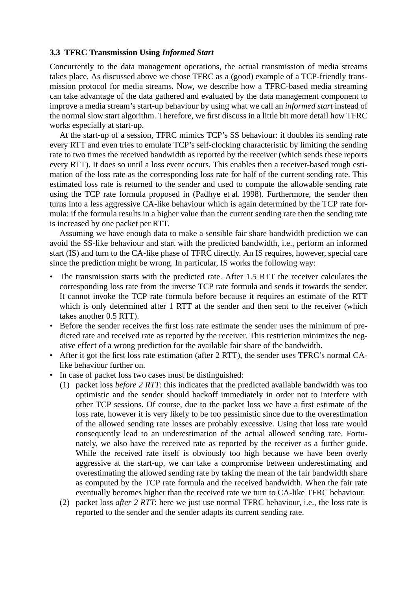#### **3.3 TFRC Transmission Using** *Informed Start*

Concurrently to the data management operations, the actual transmission of media streams takes place. As discussed above we chose TFRC as a (good) example of a TCP-friendly transmission protocol for media streams. Now, we describe how a TFRC-based media streaming can take advantage of the data gathered and evaluated by the data management component to improve a media stream's start-up behaviour by using what we call an *informed start* instead of the normal slow start algorithm. Therefore, we first discuss in a little bit more detail how TFRC works especially at start-up.

At the start-up of a session, TFRC mimics TCP's SS behaviour: it doubles its sending rate every RTT and even tries to emulate TCP's self-clocking characteristic by limiting the sending rate to two times the received bandwidth as reported by the receiver (which sends these reports every RTT). It does so until a loss event occurs. This enables then a receiver-based rough estimation of the loss rate as the corresponding loss rate for half of the current sending rate. This estimated loss rate is returned to the sender and used to compute the allowable sending rate using the TCP rate formula proposed in (Padhye et al. 1998). Furthermore, the sender then turns into a less aggressive CA-like behaviour which is again determined by the TCP rate formula: if the formula results in a higher value than the current sending rate then the sending rate is increased by one packet per RTT.

Assuming we have enough data to make a sensible fair share bandwidth prediction we can avoid the SS-like behaviour and start with the predicted bandwidth, i.e., perform an informed start (IS) and turn to the CA-like phase of TFRC directly. An IS requires, however, special care since the prediction might be wrong. In particular, IS works the following way:

- The transmission starts with the predicted rate. After 1.5 RTT the receiver calculates the corresponding loss rate from the inverse TCP rate formula and sends it towards the sender. It cannot invoke the TCP rate formula before because it requires an estimate of the RTT which is only determined after 1 RTT at the sender and then sent to the receiver (which takes another 0.5 RTT).
- Before the sender receives the first loss rate estimate the sender uses the minimum of predicted rate and received rate as reported by the receiver. This restriction minimizes the negative effect of a wrong prediction for the available fair share of the bandwidth.
- After it got the first loss rate estimation (after 2 RTT), the sender uses TFRC's normal CAlike behaviour further on.
- In case of packet loss two cases must be distinguished:
	- (1) packet loss *before 2 RTT*: this indicates that the predicted available bandwidth was too optimistic and the sender should backoff immediately in order not to interfere with other TCP sessions. Of course, due to the packet loss we have a first estimate of the loss rate, however it is very likely to be too pessimistic since due to the overestimation of the allowed sending rate losses are probably excessive. Using that loss rate would consequently lead to an underestimation of the actual allowed sending rate. Fortunately, we also have the received rate as reported by the receiver as a further guide. While the received rate itself is obviously too high because we have been overly aggressive at the start-up, we can take a compromise between underestimating and overestimating the allowed sending rate by taking the mean of the fair bandwidth share as computed by the TCP rate formula and the received bandwidth. When the fair rate eventually becomes higher than the received rate we turn to CA-like TFRC behaviour.
	- (2) packet loss *after 2 RTT*: here we just use normal TFRC behaviour, i.e., the loss rate is reported to the sender and the sender adapts its current sending rate.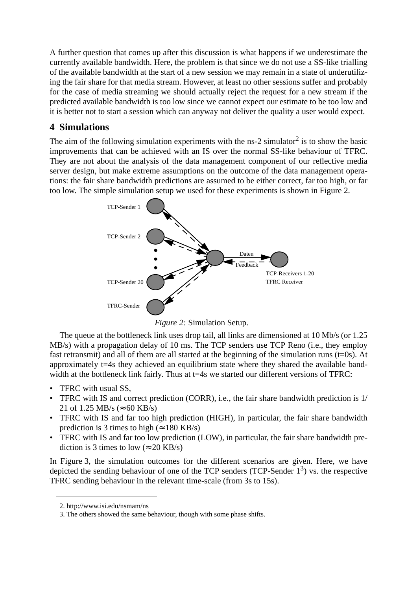A further question that comes up after this discussion is what happens if we underestimate the currently available bandwidth. Here, the problem is that since we do not use a SS-like trialling of the available bandwidth at the start of a new session we may remain in a state of underutilizing the fair share for that media stream. However, at least no other sessions suffer and probably for the case of media streaming we should actually reject the request for a new stream if the predicted available bandwidth is too low since we cannot expect our estimate to be too low and it is better not to start a session which can anyway not deliver the quality a user would expect.

## **4 Simulations**

The aim of the following simulation experiments with the ns-2 simulator<sup>2</sup> is to show the basic improvements that can be achieved with an IS over the normal SS-like behaviour of TFRC. They are not about the analysis of the data management component of our reflective media server design, but make extreme assumptions on the outcome of the data management operations: the fair share bandwidth predictions are assumed to be either correct, far too high, or far too low. The simple simulation setup we used for these experiments is shown in Figure 2.



*Figure 2:* Simulation Setup.

The queue at the bottleneck link uses drop tail, all links are dimensioned at 10 Mb/s (or 1.25 MB/s) with a propagation delay of 10 ms. The TCP senders use TCP Reno (i.e., they employ fast retransmit) and all of them are all started at the beginning of the simulation runs (t=0s). At approximately t=4s they achieved an equilibrium state where they shared the available bandwidth at the bottleneck link fairly. Thus at t=4s we started our different versions of TFRC:

- TFRC with usual SS.
- TFRC with IS and correct prediction (CORR), i.e., the fair share bandwidth prediction is 1/ 21 of 1.25 MB/s ( $\approx$  60 KB/s)
- TFRC with IS and far too high prediction (HIGH), in particular, the fair share bandwidth prediction is 3 times to high ( $\approx 180$  KB/s)
- TFRC with IS and far too low prediction (LOW), in particular, the fair share bandwidth prediction is 3 times to low ( $\approx$  20 KB/s)

In [Figure 3,](#page-6-0) the simulation outcomes for the different scenarios are given. Here, we have depicted the sending behaviour of one of the TCP senders (TCP-Sender  $1<sup>3</sup>$ ) vs. the respective TFRC sending behaviour in the relevant time-scale (from 3s to 15s).

<sup>2.</sup> http://www.isi.edu/nsmam/ns

<sup>3.</sup> The others showed the same behaviour, though with some phase shifts.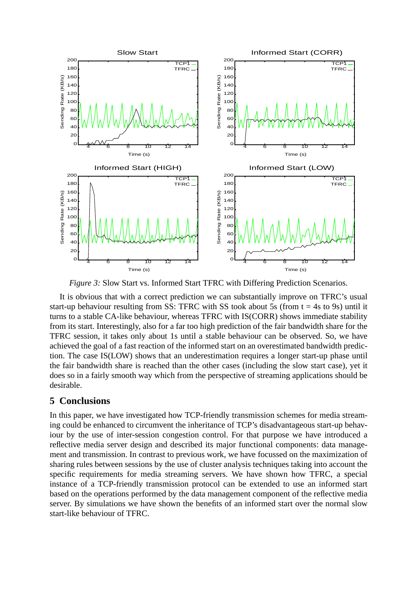<span id="page-6-0"></span>

*Figure 3:* Slow Start vs. Informed Start TFRC with Differing Prediction Scenarios.

It is obvious that with a correct prediction we can substantially improve on TFRC's usual start-up behaviour resulting from SS: TFRC with SS took about 5s (from  $t = 4s$  to 9s) until it turns to a stable CA-like behaviour, whereas TFRC with IS(CORR) shows immediate stability from its start. Interestingly, also for a far too high prediction of the fair bandwidth share for the TFRC session, it takes only about 1s until a stable behaviour can be observed. So, we have achieved the goal of a fast reaction of the informed start on an overestimated bandwidth prediction. The case IS(LOW) shows that an underestimation requires a longer start-up phase until the fair bandwidth share is reached than the other cases (including the slow start case), yet it does so in a fairly smooth way which from the perspective of streaming applications should be desirable.

#### **5 Conclusions**

In this paper, we have investigated how TCP-friendly transmission schemes for media streaming could be enhanced to circumvent the inheritance of TCP's disadvantageous start-up behaviour by the use of inter-session congestion control. For that purpose we have introduced a reflective media server design and described its major functional components: data management and transmission. In contrast to previous work, we have focussed on the maximization of sharing rules between sessions by the use of cluster analysis techniques taking into account the specific requirements for media streaming servers. We have shown how TFRC, a special instance of a TCP-friendly transmission protocol can be extended to use an informed start based on the operations performed by the data management component of the reflective media server. By simulations we have shown the benefits of an informed start over the normal slow